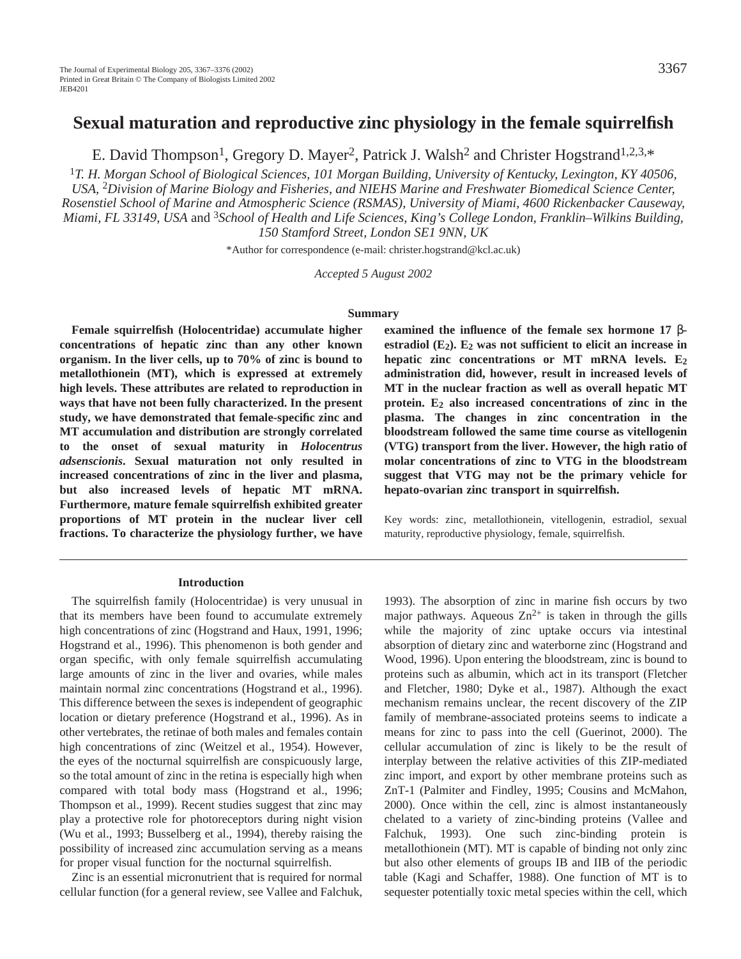# **Sexual maturation and reproductive zinc physiology in the female squirrelfish**

E. David Thompson<sup>1</sup>, Gregory D. Mayer<sup>2</sup>, Patrick J. Walsh<sup>2</sup> and Christer Hogstrand<sup>1,2,3,\*</sup>

<sup>1</sup>*T. H. Morgan School of Biological Sciences, 101 Morgan Building, University of Kentucky, Lexington, KY 40506, USA,* <sup>2</sup>*Division of Marine Biology and Fisheries, and NIEHS Marine and Freshwater Biomedical Science Center, Rosenstiel School of Marine and Atmospheric Science (RSMAS), University of Miami, 4600 Rickenbacker Causeway, Miami, FL 33149, USA* and <sup>3</sup>*School of Health and Life Sciences, King's College London, Franklin–Wilkins Building, 150 Stamford Street, London SE1 9NN, UK*

\*Author for correspondence (e-mail: christer.hogstrand@kcl.ac.uk)

*Accepted 5 August 2002*

#### **Summary**

**Female squirrelfish (Holocentridae) accumulate higher concentrations of hepatic zinc than any other known organism. In the liver cells, up to 70% of zinc is bound to metallothionein (MT), which is expressed at extremely high levels. These attributes are related to reproduction in ways that have not been fully characterized. In the present study, we have demonstrated that female-specific zinc and MT accumulation and distribution are strongly correlated to the onset of sexual maturity in** *Holocentrus adsenscionis***. Sexual maturation not only resulted in increased concentrations of zinc in the liver and plasma, but also increased levels of hepatic MT mRNA. Furthermore, mature female squirrelfish exhibited greater proportions of MT protein in the nuclear liver cell fractions. To characterize the physiology further, we have**

#### **Introduction**

The squirrelfish family (Holocentridae) is very unusual in that its members have been found to accumulate extremely high concentrations of zinc (Hogstrand and Haux, 1991, 1996; Hogstrand et al., 1996). This phenomenon is both gender and organ specific, with only female squirrelfish accumulating large amounts of zinc in the liver and ovaries, while males maintain normal zinc concentrations (Hogstrand et al., 1996). This difference between the sexes is independent of geographic location or dietary preference (Hogstrand et al., 1996). As in other vertebrates, the retinae of both males and females contain high concentrations of zinc (Weitzel et al., 1954). However, the eyes of the nocturnal squirrelfish are conspicuously large, so the total amount of zinc in the retina is especially high when compared with total body mass (Hogstrand et al., 1996; Thompson et al., 1999). Recent studies suggest that zinc may play a protective role for photoreceptors during night vision (Wu et al., 1993; Busselberg et al., 1994), thereby raising the possibility of increased zinc accumulation serving as a means for proper visual function for the nocturnal squirrelfish.

Zinc is an essential micronutrient that is required for normal cellular function (for a general review, see Vallee and Falchuk,

**examined the influence of the female sex hormone 17** βestradiol  $(E_2)$ .  $E_2$  was not sufficient to elicit an increase in **hepatic zinc concentrations or MT mRNA levels. E2 administration did, however, result in increased levels of MT in the nuclear fraction as well as overall hepatic MT protein. E2 also increased concentrations of zinc in the plasma. The changes in zinc concentration in the bloodstream followed the same time course as vitellogenin (VTG) transport from the liver. However, the high ratio of molar concentrations of zinc to VTG in the bloodstream suggest that VTG may not be the primary vehicle for hepato-ovarian zinc transport in squirrelfish.**

Key words: zinc, metallothionein, vitellogenin, estradiol, sexual maturity, reproductive physiology, female, squirrelfish.

1993). The absorption of zinc in marine fish occurs by two major pathways. Aqueous  $Zn^{2+}$  is taken in through the gills while the majority of zinc uptake occurs via intestinal absorption of dietary zinc and waterborne zinc (Hogstrand and Wood, 1996). Upon entering the bloodstream, zinc is bound to proteins such as albumin, which act in its transport (Fletcher and Fletcher, 1980; Dyke et al., 1987). Although the exact mechanism remains unclear, the recent discovery of the ZIP family of membrane-associated proteins seems to indicate a means for zinc to pass into the cell (Guerinot, 2000). The cellular accumulation of zinc is likely to be the result of interplay between the relative activities of this ZIP-mediated zinc import, and export by other membrane proteins such as ZnT-1 (Palmiter and Findley, 1995; Cousins and McMahon, 2000). Once within the cell, zinc is almost instantaneously chelated to a variety of zinc-binding proteins (Vallee and Falchuk, 1993). One such zinc-binding protein is metallothionein (MT). MT is capable of binding not only zinc but also other elements of groups IB and IIB of the periodic table (Kagi and Schaffer, 1988). One function of MT is to sequester potentially toxic metal species within the cell, which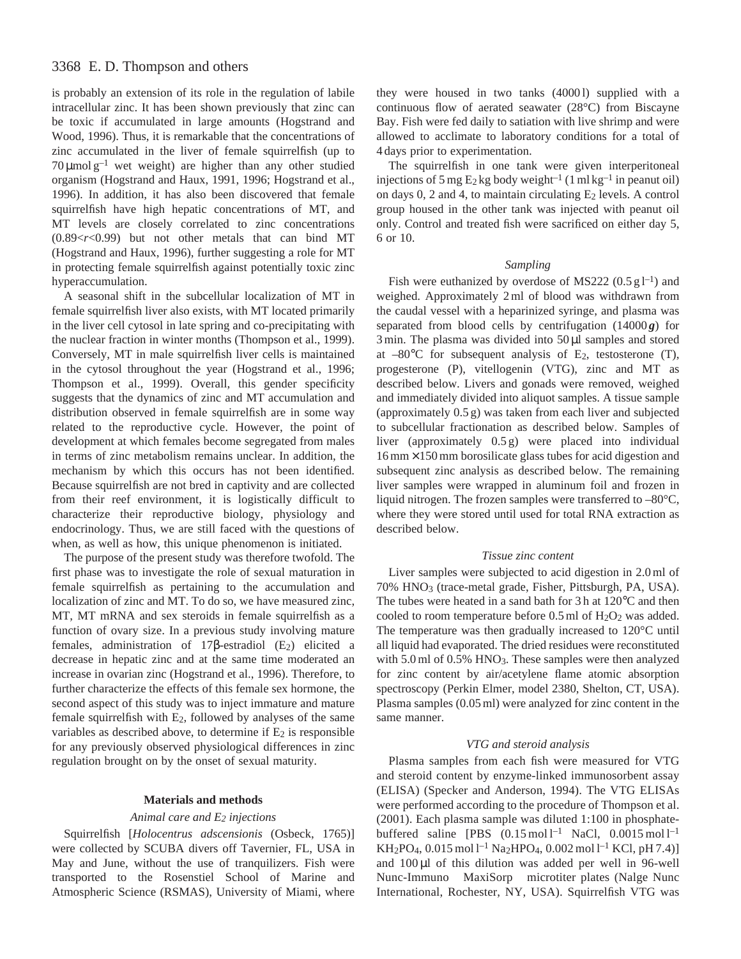# 3368 E. D. Thompson and others

is probably an extension of its role in the regulation of labile intracellular zinc. It has been shown previously that zinc can be toxic if accumulated in large amounts (Hogstrand and Wood, 1996). Thus, it is remarkable that the concentrations of zinc accumulated in the liver of female squirrelfish (up to  $70 \mu$ mol g<sup>-1</sup> wet weight) are higher than any other studied organism (Hogstrand and Haux, 1991, 1996; Hogstrand et al., 1996). In addition, it has also been discovered that female squirrelfish have high hepatic concentrations of MT, and MT levels are closely correlated to zinc concentrations (0.89<*r*<0.99) but not other metals that can bind MT (Hogstrand and Haux, 1996), further suggesting a role for MT in protecting female squirrelfish against potentially toxic zinc hyperaccumulation.

A seasonal shift in the subcellular localization of MT in female squirrelfish liver also exists, with MT located primarily in the liver cell cytosol in late spring and co-precipitating with the nuclear fraction in winter months (Thompson et al., 1999). Conversely, MT in male squirrelfish liver cells is maintained in the cytosol throughout the year (Hogstrand et al., 1996; Thompson et al., 1999). Overall, this gender specificity suggests that the dynamics of zinc and MT accumulation and distribution observed in female squirrelfish are in some way related to the reproductive cycle. However, the point of development at which females become segregated from males in terms of zinc metabolism remains unclear. In addition, the mechanism by which this occurs has not been identified. Because squirrelfish are not bred in captivity and are collected from their reef environment, it is logistically difficult to characterize their reproductive biology, physiology and endocrinology. Thus, we are still faced with the questions of when, as well as how, this unique phenomenon is initiated.

The purpose of the present study was therefore twofold. The first phase was to investigate the role of sexual maturation in female squirrelfish as pertaining to the accumulation and localization of zinc and MT. To do so, we have measured zinc, MT, MT mRNA and sex steroids in female squirrelfish as a function of ovary size. In a previous study involving mature females, administration of 17β-estradiol  $(E_2)$  elicited a decrease in hepatic zinc and at the same time moderated an increase in ovarian zinc (Hogstrand et al., 1996). Therefore, to further characterize the effects of this female sex hormone, the second aspect of this study was to inject immature and mature female squirrelfish with E2, followed by analyses of the same variables as described above, to determine if  $E_2$  is responsible for any previously observed physiological differences in zinc regulation brought on by the onset of sexual maturity.

### **Materials and methods**

### *Animal care and E2 injections*

Squirrelfish [*Holocentrus adscensionis* (Osbeck, 1765)] were collected by SCUBA divers off Tavernier, FL, USA in May and June, without the use of tranquilizers. Fish were transported to the Rosenstiel School of Marine and Atmospheric Science (RSMAS), University of Miami, where

they were housed in two tanks (40001) supplied with a continuous flow of aerated seawater (28°C) from Biscayne Bay. Fish were fed daily to satiation with live shrimp and were allowed to acclimate to laboratory conditions for a total of 4 days prior to experimentation.

The squirrelfish in one tank were given interperitoneal injections of 5 mg  $E_2$  kg body weight<sup>-1</sup> (1 ml kg<sup>-1</sup> in peanut oil) on days  $0$ , 2 and 4, to maintain circulating  $E_2$  levels. A control group housed in the other tank was injected with peanut oil only. Control and treated fish were sacrificed on either day 5, 6 or 10.

#### *Sampling*

Fish were euthanized by overdose of MS222  $(0.5 \text{ g l}^{-1})$  and weighed. Approximately 2 ml of blood was withdrawn from the caudal vessel with a heparinized syringe, and plasma was separated from blood cells by centrifugation (14000g) for 3 min. The plasma was divided into 50 µl samples and stored at  $-80^{\circ}$ C for subsequent analysis of E<sub>2</sub>, testosterone (T), progesterone (P), vitellogenin (VTG), zinc and MT as described below. Livers and gonads were removed, weighed and immediately divided into aliquot samples. A tissue sample (approximately 0.5 g) was taken from each liver and subjected to subcellular fractionation as described below. Samples of liver (approximately 0.5 g) were placed into individual  $16 \text{ mm} \times 150 \text{ mm}$  borosilicate glass tubes for acid digestion and subsequent zinc analysis as described below. The remaining liver samples were wrapped in aluminum foil and frozen in liquid nitrogen. The frozen samples were transferred to –80°C, where they were stored until used for total RNA extraction as described below.

#### *Tissue zinc content*

Liver samples were subjected to acid digestion in 2.0 ml of 70% HNO3 (trace-metal grade, Fisher, Pittsburgh, PA, USA). The tubes were heated in a sand bath for 3 h at 120°C and then cooled to room temperature before  $0.5$  ml of  $H<sub>2</sub>O<sub>2</sub>$  was added. The temperature was then gradually increased to 120°C until all liquid had evaporated. The dried residues were reconstituted with 5.0 ml of 0.5% HNO<sub>3</sub>. These samples were then analyzed for zinc content by air/acetylene flame atomic absorption spectroscopy (Perkin Elmer, model 2380, Shelton, CT, USA). Plasma samples (0.05 ml) were analyzed for zinc content in the same manner.

#### *VTG and steroid analysis*

Plasma samples from each fish were measured for VTG and steroid content by enzyme-linked immunosorbent assay (ELISA) (Specker and Anderson, 1994). The VTG ELISAs were performed according to the procedure of Thompson et al. (2001). Each plasma sample was diluted 1:100 in phosphatebuffered saline [PBS  $(0.15 \text{ mol}^{-1} \text{ NaCl}, 0.0015 \text{ mol}^{-1}$ ] KH<sub>2</sub>PO<sub>4</sub>, 0.015 mol l<sup>-1</sup> Na<sub>2</sub>HPO<sub>4</sub>, 0.002 mol l<sup>-1</sup> KCl, pH 7.4)] and  $100 \mu l$  of this dilution was added per well in 96-well Nunc-Immuno<sup>™</sup> MaxiSorp™ microtiter plates (Nalge Nunc International, Rochester, NY, USA). Squirrelfish VTG was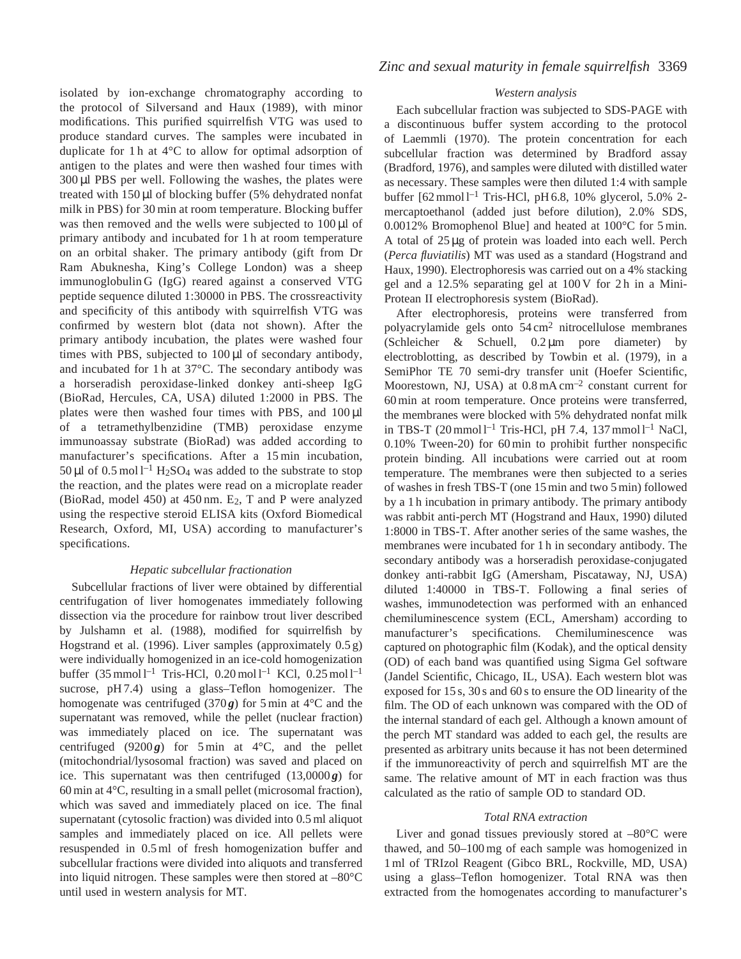isolated by ion-exchange chromatography according to the protocol of Silversand and Haux (1989), with minor modifications. This purified squirrelfish VTG was used to produce standard curves. The samples were incubated in duplicate for 1 h at 4°C to allow for optimal adsorption of antigen to the plates and were then washed four times with 300 µl PBS per well. Following the washes, the plates were treated with 150 µl of blocking buffer (5% dehydrated nonfat milk in PBS) for 30 min at room temperature. Blocking buffer was then removed and the wells were subjected to  $100 \mu l$  of primary antibody and incubated for 1 h at room temperature on an orbital shaker. The primary antibody (gift from Dr Ram Abuknesha, King's College London) was a sheep immunoglobulin G (IgG) reared against a conserved VTG peptide sequence diluted 1:30000 in PBS. The crossreactivity and specificity of this antibody with squirrelfish VTG was confirmed by western blot (data not shown). After the primary antibody incubation, the plates were washed four times with PBS, subjected to 100 µl of secondary antibody, and incubated for 1 h at 37°C. The secondary antibody was a horseradish peroxidase-linked donkey anti-sheep IgG (BioRad, Hercules, CA, USA) diluted 1:2000 in PBS. The plates were then washed four times with PBS, and  $100 \mu l$ of a tetramethylbenzidine (TMB) peroxidase enzyme immunoassay substrate (BioRad) was added according to manufacturer's specifications. After a 15 min incubation, 50 µl of  $0.5 \text{ mol}$ <sup>1-1</sup> H<sub>2</sub>SO<sub>4</sub> was added to the substrate to stop the reaction, and the plates were read on a microplate reader (BioRad, model 450) at 450 nm. E2, T and P were analyzed using the respective steroid ELISA kits (Oxford Biomedical Research, Oxford, MI, USA) according to manufacturer's specifications.

## *Hepatic subcellular fractionation*

Subcellular fractions of liver were obtained by differential centrifugation of liver homogenates immediately following dissection via the procedure for rainbow trout liver described by Julshamn et al. (1988), modified for squirrelfish by Hogstrand et al. (1996). Liver samples (approximately 0.5 g) were individually homogenized in an ice-cold homogenization buffer  $(35 \text{ mmol }1^{-1}$  Tris-HCl, 0.20 mol  $1^{-1}$  KCl, 0.25 mol  $1^{-1}$ sucrose, pH 7.4) using a glass–Teflon homogenizer. The homogenate was centrifuged (370 $g$ ) for 5 min at 4 $\degree$ C and the supernatant was removed, while the pellet (nuclear fraction) was immediately placed on ice. The supernatant was centrifuged (9200 $\mathbf{g}$ ) for 5 min at 4<sup>o</sup>C, and the pellet (mitochondrial/lysosomal fraction) was saved and placed on ice. This supernatant was then centrifuged  $(13,0000g)$  for 60 min at 4°C, resulting in a small pellet (microsomal fraction), which was saved and immediately placed on ice. The final supernatant (cytosolic fraction) was divided into 0.5 ml aliquot samples and immediately placed on ice. All pellets were resuspended in 0.5 ml of fresh homogenization buffer and subcellular fractions were divided into aliquots and transferred into liquid nitrogen. These samples were then stored at –80°C until used in western analysis for MT.

### *Western analysis*

Each subcellular fraction was subjected to SDS-PAGE with a discontinuous buffer system according to the protocol of Laemmli (1970). The protein concentration for each subcellular fraction was determined by Bradford assay (Bradford, 1976), and samples were diluted with distilled water as necessary. These samples were then diluted 1:4 with sample buffer  $[62 \text{ mmol}]^{-1}$  Tris-HCl, pH 6.8, 10% glycerol, 5.0% 2mercaptoethanol (added just before dilution), 2.0% SDS, 0.0012% Bromophenol Blue] and heated at 100°C for 5 min. A total of 25 µg of protein was loaded into each well. Perch (*Perca fluviatilis*) MT was used as a standard (Hogstrand and Haux, 1990). Electrophoresis was carried out on a 4% stacking gel and a  $12.5\%$  separating gel at  $100V$  for 2h in a Mini-Protean II electrophoresis system (BioRad).

After electrophoresis, proteins were transferred from polyacrylamide gels onto 54 cm2 nitrocellulose membranes (Schleicher & Schuell, 0.2 µm pore diameter) by electroblotting, as described by Towbin et al. (1979), in a SemiPhor TE 70 semi-dry transfer unit (Hoefer Scientific, Moorestown, NJ, USA) at 0.8 mA cm–2 constant current for 60 min at room temperature. Once proteins were transferred, the membranes were blocked with 5% dehydrated nonfat milk in TBS-T (20 mmol  $l^{-1}$  Tris-HCl, pH 7.4, 137 mmol  $l^{-1}$  NaCl, 0.10% Tween-20) for 60 min to prohibit further nonspecific protein binding. All incubations were carried out at room temperature. The membranes were then subjected to a series of washes in fresh TBS-T (one 15 min and two 5 min) followed by a 1 h incubation in primary antibody. The primary antibody was rabbit anti-perch MT (Hogstrand and Haux, 1990) diluted 1:8000 in TBS-T. After another series of the same washes, the membranes were incubated for 1 h in secondary antibody. The secondary antibody was a horseradish peroxidase-conjugated donkey anti-rabbit IgG (Amersham, Piscataway, NJ, USA) diluted 1:40000 in TBS-T. Following a final series of washes, immunodetection was performed with an enhanced chemiluminescence system (ECL, Amersham) according to manufacturer's specifications. Chemiluminescence was captured on photographic film (Kodak), and the optical density (OD) of each band was quantified using Sigma Gel software (Jandel Scientific, Chicago, IL, USA). Each western blot was exposed for 15 s, 30 s and 60 s to ensure the OD linearity of the film. The OD of each unknown was compared with the OD of the internal standard of each gel. Although a known amount of the perch MT standard was added to each gel, the results are presented as arbitrary units because it has not been determined if the immunoreactivity of perch and squirrelfish MT are the same. The relative amount of MT in each fraction was thus calculated as the ratio of sample OD to standard OD.

### *Total RNA extraction*

Liver and gonad tissues previously stored at  $-80^{\circ}$ C were thawed, and 50–100 mg of each sample was homogenized in 1 ml of TRIzol Reagent (Gibco BRL, Rockville, MD, USA) using a glass–Teflon homogenizer. Total RNA was then extracted from the homogenates according to manufacturer's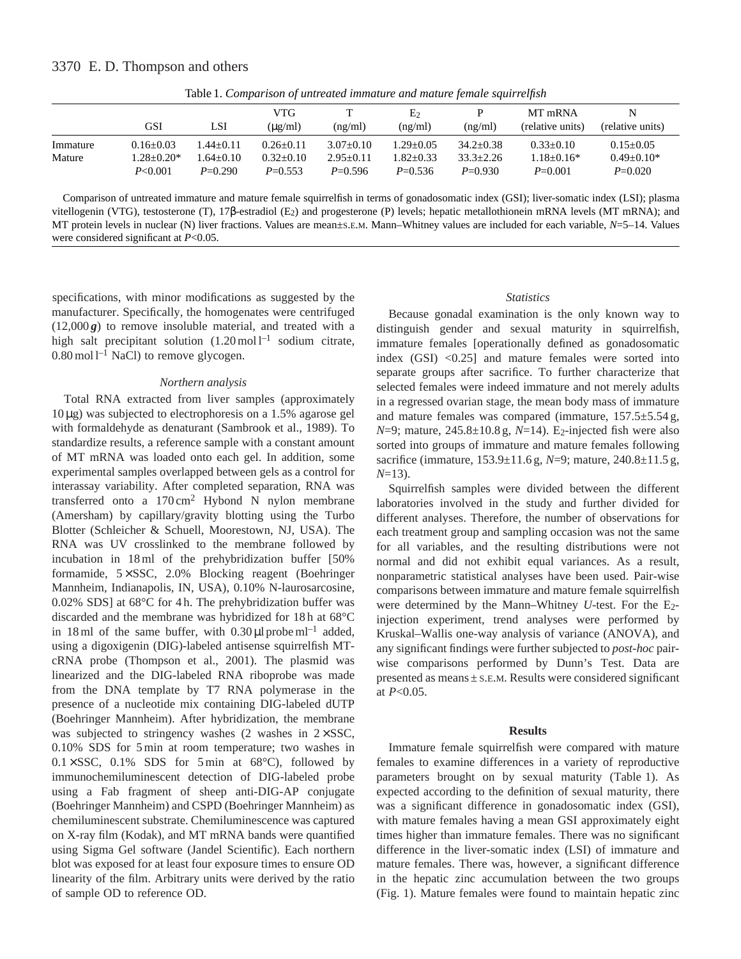|          | GSI            | LSI           | VTG<br>$(\mu$ g/ml $)$ | (ng/ml)     | E <sub>2</sub><br>(ng/ml) | (ng/ml)       | MT mRNA<br>(relative units) | N<br>(relative units) |  |
|----------|----------------|---------------|------------------------|-------------|---------------------------|---------------|-----------------------------|-----------------------|--|
|          |                |               |                        |             |                           |               |                             |                       |  |
| Immature | $0.16 + 0.03$  | $1.44 + 0.11$ | $0.26 + 0.11$          | $3.07+0.10$ | $1.29 + 0.05$             | $34.2 + 0.38$ | $0.33+0.10$                 | $0.15+0.05$           |  |
| Mature   | $1.28 + 0.20*$ | $.64+0.10$    | $0.32+0.10$            | $2.95+0.11$ | $1.82 + 0.33$             | $33.3 + 2.26$ | $1.18 + 0.16*$              | $0.49+0.10*$          |  |
|          | P < 0.001      | $P=0.290$     | $P=0.553$              | $P=0.596$   | $P=0.536$                 | $P=0.930$     | $P=0.001$                   | $P=0.020$             |  |

Table 1. *Comparison of untreated immature and mature female squirrelfish*

Comparison of untreated immature and mature female squirrelfish in terms of gonadosomatic index (GSI); liver-somatic index (LSI); plasma vitellogenin (VTG), testosterone (T), 17β-estradiol (E<sub>2</sub>) and progesterone (P) levels; hepatic metallothionein mRNA levels (MT mRNA); and MT protein levels in nuclear (N) liver fractions. Values are mean±S.E.M. Mann–Whitney values are included for each variable, *N*=5–14. Values were considered significant at *P*<0.05.

specifications, with minor modifications as suggested by the manufacturer. Specifically, the homogenates were centrifuged  $(12,000 g)$  to remove insoluble material, and treated with a high salt precipitant solution  $(1.20 \text{ mol}^{-1})$  sodium citrate,  $0.80 \,\mathrm{mol}^{-1}$  NaCl) to remove glycogen.

### *Northern analysis*

Total RNA extracted from liver samples (approximately 10 µg) was subjected to electrophoresis on a 1.5% agarose gel with formaldehyde as denaturant (Sambrook et al., 1989). To standardize results, a reference sample with a constant amount of MT mRNA was loaded onto each gel. In addition, some experimental samples overlapped between gels as a control for interassay variability. After completed separation, RNA was transferred onto a  $170 \text{ cm}^2$  Hybond N nylon membrane (Amersham) by capillary/gravity blotting using the Turbo Blotter (Schleicher & Schuell, Moorestown, NJ, USA). The RNA was UV crosslinked to the membrane followed by incubation in 18 ml of the prehybridization buffer [50% formamide, 5 × SSC, 2.0% Blocking reagent (Boehringer Mannheim, Indianapolis, IN, USA), 0.10% N-laurosarcosine, 0.02% SDS] at 68°C for 4 h. The prehybridization buffer was discarded and the membrane was hybridized for 18 h at 68°C in 18 ml of the same buffer, with  $0.30 \mu l$  probe ml<sup>-1</sup> added, using a digoxigenin (DIG)-labeled antisense squirrelfish MTcRNA probe (Thompson et al., 2001). The plasmid was linearized and the DIG-labeled RNA riboprobe was made from the DNA template by T7 RNA polymerase in the presence of a nucleotide mix containing DIG-labeled dUTP (Boehringer Mannheim). After hybridization, the membrane was subjected to stringency washes (2 washes in  $2 \times SSC$ , 0.10% SDS for 5 min at room temperature; two washes in  $0.1 \times SSC$ ,  $0.1\%$  SDS for 5 min at 68°C), followed by immunochemiluminescent detection of DIG-labeled probe using a Fab fragment of sheep anti-DIG-AP conjugate (Boehringer Mannheim) and CSPD (Boehringer Mannheim) as chemiluminescent substrate. Chemiluminescence was captured on X-ray film (Kodak), and MT mRNA bands were quantified using Sigma Gel software (Jandel Scientific). Each northern blot was exposed for at least four exposure times to ensure OD linearity of the film. Arbitrary units were derived by the ratio of sample OD to reference OD.

## *Statistics*

Because gonadal examination is the only known way to distinguish gender and sexual maturity in squirrelfish, immature females [operationally defined as gonadosomatic index (GSI) <0.25] and mature females were sorted into separate groups after sacrifice. To further characterize that selected females were indeed immature and not merely adults in a regressed ovarian stage, the mean body mass of immature and mature females was compared (immature, 157.5±5.54 g, *N*=9; mature, 245.8±10.8 g, *N*=14). E<sub>2</sub>-injected fish were also sorted into groups of immature and mature females following sacrifice (immature, 153.9±11.6 g, *N*=9; mature, 240.8±11.5 g, *N*=13).

Squirrelfish samples were divided between the different laboratories involved in the study and further divided for different analyses. Therefore, the number of observations for each treatment group and sampling occasion was not the same for all variables, and the resulting distributions were not normal and did not exhibit equal variances. As a result, nonparametric statistical analyses have been used. Pair-wise comparisons between immature and mature female squirrelfish were determined by the Mann–Whitney *U*-test. For the E2 injection experiment, trend analyses were performed by Kruskal–Wallis one-way analysis of variance (ANOVA), and any significant findings were further subjected to *post-hoc* pairwise comparisons performed by Dunn's Test. Data are presented as means ± S.E.M. Results were considered significant at *P*<0.05.

#### **Results**

Immature female squirrelfish were compared with mature females to examine differences in a variety of reproductive parameters brought on by sexual maturity (Table 1). As expected according to the definition of sexual maturity, there was a significant difference in gonadosomatic index (GSI), with mature females having a mean GSI approximately eight times higher than immature females. There was no significant difference in the liver-somatic index (LSI) of immature and mature females. There was, however, a significant difference in the hepatic zinc accumulation between the two groups (Fig. 1). Mature females were found to maintain hepatic zinc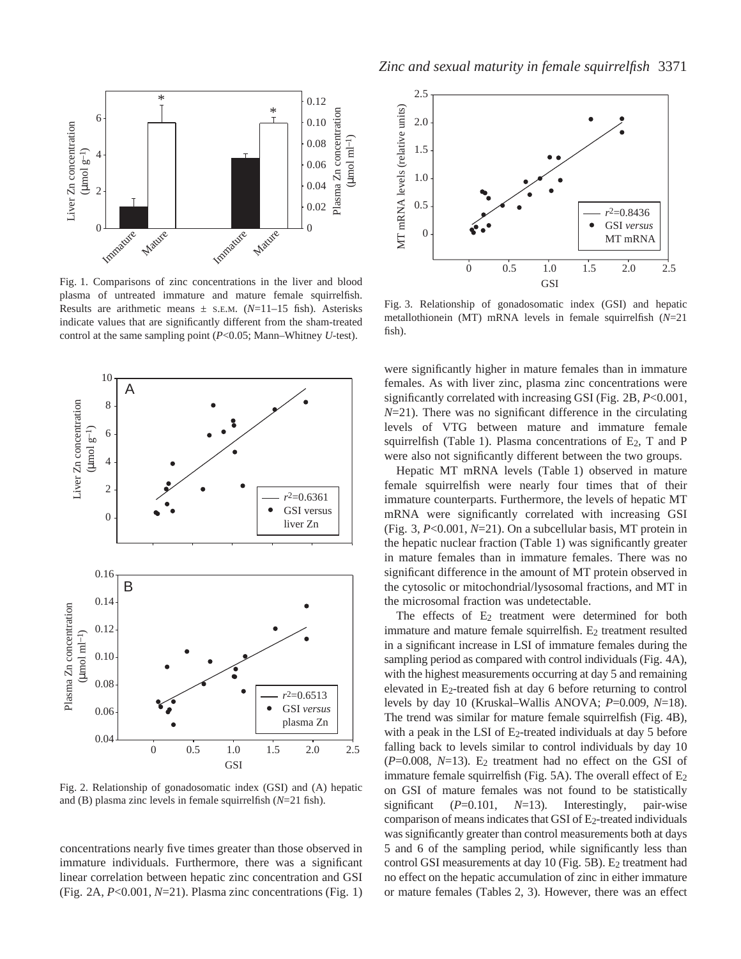

Fig. 1. Comparisons of zinc concentrations in the liver and blood plasma of untreated immature and mature female squirrelfish. Results are arithmetic means  $\pm$  s.E.M. ( $N=11-15$  fish). Asterisks indicate values that are significantly different from the sham-treated control at the same sampling point (*P*<0.05; Mann–Whitney *U*-test).



Fig. 2. Relationship of gonadosomatic index (GSI) and (A) hepatic and (B) plasma zinc levels in female squirrelfish (*N*=21 fish).

concentrations nearly five times greater than those observed in immature individuals. Furthermore, there was a significant linear correlation between hepatic zinc concentration and GSI (Fig. 2A, *P*<0.001, *N*=21). Plasma zinc concentrations (Fig. 1)



Fig. 3. Relationship of gonadosomatic index (GSI) and hepatic metallothionein (MT) mRNA levels in female squirrelfish (*N*=21 fish).

were significantly higher in mature females than in immature females. As with liver zinc, plasma zinc concentrations were significantly correlated with increasing GSI (Fig. 2B, *P*<0.001, *N*=21). There was no significant difference in the circulating levels of VTG between mature and immature female squirrelfish (Table 1). Plasma concentrations of  $E_2$ , T and P were also not significantly different between the two groups.

Hepatic MT mRNA levels (Table 1) observed in mature female squirrelfish were nearly four times that of their immature counterparts. Furthermore, the levels of hepatic MT mRNA were significantly correlated with increasing GSI (Fig. 3, *P*<0.001, *N*=21). On a subcellular basis, MT protein in the hepatic nuclear fraction (Table 1) was significantly greater in mature females than in immature females. There was no significant difference in the amount of MT protein observed in the cytosolic or mitochondrial/lysosomal fractions, and MT in the microsomal fraction was undetectable.

The effects of  $E_2$  treatment were determined for both immature and mature female squirrelfish.  $E_2$  treatment resulted in a significant increase in LSI of immature females during the sampling period as compared with control individuals (Fig. 4A), with the highest measurements occurring at day 5 and remaining elevated in E2-treated fish at day 6 before returning to control levels by day 10 (Kruskal–Wallis ANOVA; *P*=0.009, *N*=18). The trend was similar for mature female squirrelfish (Fig. 4B), with a peak in the LSI of  $E_2$ -treated individuals at day 5 before falling back to levels similar to control individuals by day 10  $(P=0.008, N=13)$ . E<sub>2</sub> treatment had no effect on the GSI of immature female squirrelfish (Fig. 5A). The overall effect of  $E_2$ on GSI of mature females was not found to be statistically significant (*P*=0.101, *N*=13). Interestingly, pair-wise comparison of means indicates that GSI of  $E_2$ -treated individuals was significantly greater than control measurements both at days 5 and 6 of the sampling period, while significantly less than control GSI measurements at day 10 (Fig. 5B). E<sub>2</sub> treatment had no effect on the hepatic accumulation of zinc in either immature or mature females (Tables 2, 3). However, there was an effect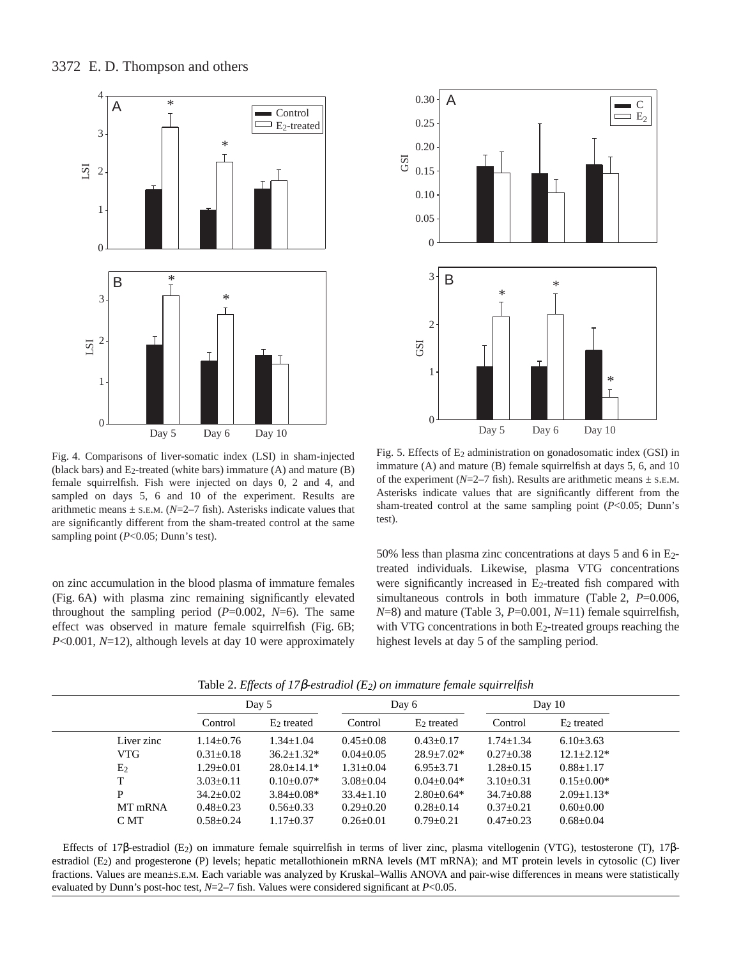# 3372 E. D. Thompson and others





Fig. 4. Comparisons of liver-somatic index (LSI) in sham-injected (black bars) and  $E_2$ -treated (white bars) immature (A) and mature (B) female squirrelfish. Fish were injected on days 0, 2 and 4, and sampled on days 5, 6 and 10 of the experiment. Results are arithmetic means  $\pm$  s.E.M. ( $N=2-7$  fish). Asterisks indicate values that are significantly different from the sham-treated control at the same sampling point (*P*<0.05; Dunn's test).

on zinc accumulation in the blood plasma of immature females (Fig. 6A) with plasma zinc remaining significantly elevated throughout the sampling period (*P*=0.002, *N*=6). The same effect was observed in mature female squirrelfish (Fig. 6B; *P*<0.001, *N*=12), although levels at day 10 were approximately

Fig. 5. Effects of E2 administration on gonadosomatic index (GSI) in immature (A) and mature (B) female squirrelfish at days 5, 6, and 10 of the experiment ( $N=2-7$  fish). Results are arithmetic means  $\pm$  s.e.m. Asterisks indicate values that are significantly different from the sham-treated control at the same sampling point (*P*<0.05; Dunn's test).

50% less than plasma zinc concentrations at days 5 and 6 in E2 treated individuals. Likewise, plasma VTG concentrations were significantly increased in E<sub>2</sub>-treated fish compared with simultaneous controls in both immature (Table 2, *P*=0.006, *N*=8) and mature (Table 3, *P*=0.001, *N*=11) female squirrelfish, with VTG concentrations in both  $E_2$ -treated groups reaching the highest levels at day 5 of the sampling period.

|                |                 | Day 5             |                 | Day 6            |                 | Day $10$        |  |
|----------------|-----------------|-------------------|-----------------|------------------|-----------------|-----------------|--|
|                | Control         | $E2$ treated      | Control         | $E_2$ treated    | Control         | $E2$ treated    |  |
| Liver zinc     | $1.14 \pm 0.76$ | $1.34 + 1.04$     | $0.45 + 0.08$   | $0.43 \pm 0.17$  | $1.74 \pm 1.34$ | $6.10\pm3.63$   |  |
| VTG            | $0.31 \pm 0.18$ | $36.2 \pm 1.32^*$ | $0.04 \pm 0.05$ | $28.9 \pm 7.02*$ | $0.27 \pm 0.38$ | $12.1 + 2.12*$  |  |
| E <sub>2</sub> | $1.29 \pm 0.01$ | $28.0 + 14.1*$    | $1.31 \pm 0.04$ | $6.95 \pm 3.71$  | $1.28 \pm 0.15$ | $0.88 \pm 1.17$ |  |
| T              | $3.03 \pm 0.11$ | $0.10+0.07*$      | $3.08 \pm 0.04$ | $0.04 + 0.04*$   | $3.10\pm0.31$   | $0.15+0.00*$    |  |
| P              | $34.2 \pm 0.02$ | $3.84 + 0.08*$    | $33.4 \pm 1.10$ | $2.80 \pm 0.64*$ | $34.7 \pm 0.88$ | $2.09 + 1.13*$  |  |
| MT mRNA        | $0.48 \pm 0.23$ | $0.56 \pm 0.33$   | $0.29 \pm 0.20$ | $0.28 \pm 0.14$  | $0.37 \pm 0.21$ | $0.60 \pm 0.00$ |  |
| C MT           | $0.58 \pm 0.24$ | $1.17 \pm 0.37$   | $0.26 \pm 0.01$ | $0.79 \pm 0.21$  | $0.47 \pm 0.23$ | $0.68 \pm 0.04$ |  |

Table 2. *Effects of 17*β*-estradiol (E2) on immature female squirrelfish*

Effects of 17β-estradiol (E2) on immature female squirrelfish in terms of liver zinc, plasma vitellogenin (VTG), testosterone (T), 17βestradiol (E<sub>2</sub>) and progesterone (P) levels; hepatic metallothionein mRNA levels (MT mRNA); and MT protein levels in cytosolic (C) liver fractions. Values are mean±s.E.M. Each variable was analyzed by Kruskal–Wallis ANOVA and pair-wise differences in means were statistically evaluated by Dunn's post-hoc test, *N*=2–7 fish. Values were considered significant at *P*<0.05.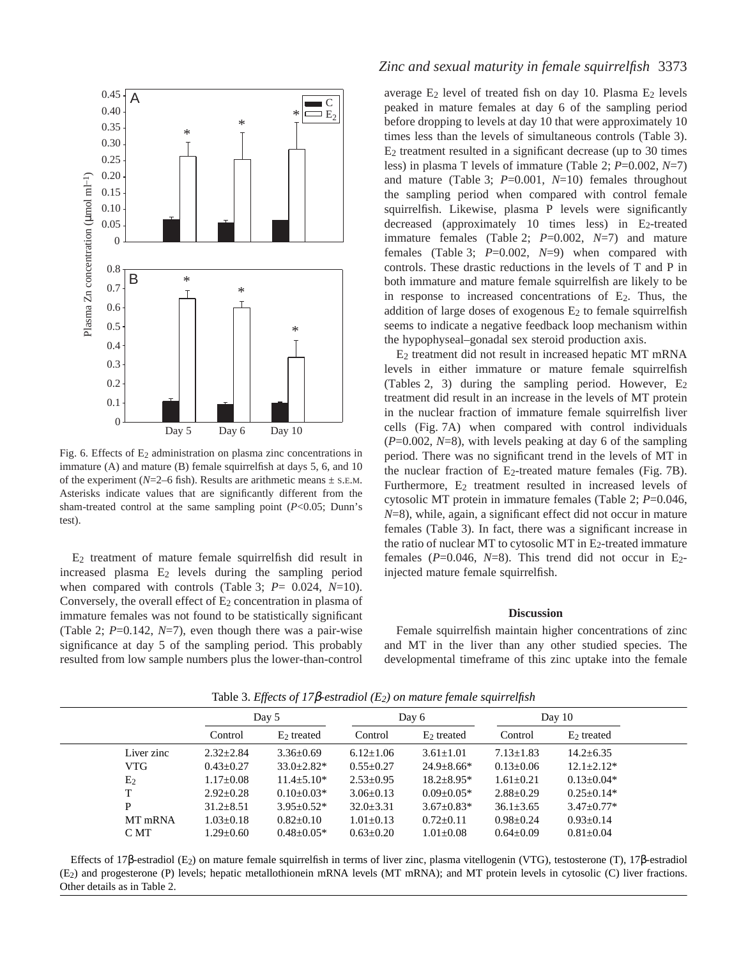

Fig. 6. Effects of E<sub>2</sub> administration on plasma zinc concentrations in immature (A) and mature (B) female squirrelfish at days 5, 6, and 10 of the experiment ( $N=2-6$  fish). Results are arithmetic means  $\pm$  s.e.m. Asterisks indicate values that are significantly different from the sham-treated control at the same sampling point (*P*<0.05; Dunn's test).

E2 treatment of mature female squirrelfish did result in increased plasma E2 levels during the sampling period when compared with controls (Table 3; *P*= 0.024, *N*=10). Conversely, the overall effect of  $E_2$  concentration in plasma of immature females was not found to be statistically significant (Table 2; *P*=0.142, *N*=7), even though there was a pair-wise significance at day 5 of the sampling period. This probably resulted from low sample numbers plus the lower-than-control

# *Zinc and sexual maturity in female squirrelfish* 3373

average  $E_2$  level of treated fish on day 10. Plasma  $E_2$  levels peaked in mature females at day 6 of the sampling period before dropping to levels at day 10 that were approximately 10 times less than the levels of simultaneous controls (Table 3). E2 treatment resulted in a significant decrease (up to 30 times less) in plasma T levels of immature (Table 2; *P*=0.002, *N*=7) and mature (Table 3; *P*=0.001, *N*=10) females throughout the sampling period when compared with control female squirrelfish. Likewise, plasma P levels were significantly decreased (approximately 10 times less) in E<sub>2</sub>-treated immature females (Table 2; *P*=0.002, *N*=7) and mature females (Table 3; *P*=0.002, *N*=9) when compared with controls. These drastic reductions in the levels of T and P in both immature and mature female squirrelfish are likely to be in response to increased concentrations of  $E_2$ . Thus, the addition of large doses of exogenous  $E_2$  to female squirrelfish seems to indicate a negative feedback loop mechanism within the hypophyseal–gonadal sex steroid production axis.

E2 treatment did not result in increased hepatic MT mRNA levels in either immature or mature female squirrelfish (Tables 2, 3) during the sampling period. However,  $E_2$ treatment did result in an increase in the levels of MT protein in the nuclear fraction of immature female squirrelfish liver cells (Fig. 7A) when compared with control individuals (*P*=0.002, *N*=8), with levels peaking at day 6 of the sampling period. There was no significant trend in the levels of MT in the nuclear fraction of  $E_2$ -treated mature females (Fig. 7B). Furthermore, E<sub>2</sub> treatment resulted in increased levels of cytosolic MT protein in immature females (Table 2; *P*=0.046, *N*=8), while, again, a significant effect did not occur in mature females (Table 3). In fact, there was a significant increase in the ratio of nuclear MT to cytosolic MT in  $E_2$ -treated immature females  $(P=0.046, N=8)$ . This trend did not occur in E<sub>2</sub>injected mature female squirrelfish.

#### **Discussion**

Female squirrelfish maintain higher concentrations of zinc and MT in the liver than any other studied species. The developmental timeframe of this zinc uptake into the female

|                | Day 5           |                   | Day 6           |                  | Day 10          |                  |
|----------------|-----------------|-------------------|-----------------|------------------|-----------------|------------------|
|                | Control         | $E2$ treated      | Control         | $E2$ treated     | Control         | $E2$ treated     |
| Liver zinc     | $2.32 + 2.84$   | $3.36 \pm 0.69$   | $6.12{\pm}1.06$ | $3.61 + 1.01$    | $7.13 + 1.83$   | $14.2 + 6.35$    |
| <b>VTG</b>     | $0.43 \pm 0.27$ | $33.0 \pm 2.82^*$ | $0.55 \pm 0.27$ | $24.9 \pm 8.66*$ | $0.13 \pm 0.06$ | $12.1 \pm 2.12*$ |
| E <sub>2</sub> | $1.17 \pm 0.08$ | $11.4 \pm 5.10*$  | $2.53 \pm 0.95$ | $18.2 \pm 8.95*$ | $1.61 \pm 0.21$ | $0.13 \pm 0.04*$ |
| T              | $2.92 \pm 0.28$ | $0.10\pm0.03*$    | $3.06 \pm 0.13$ | $0.09 + 0.05*$   | $2.88 \pm 0.29$ | $0.25+0.14*$     |
| P              | $31.2 \pm 8.51$ | $3.95 + 0.52*$    | $32.0 \pm 3.31$ | $3.67 \pm 0.83*$ | $36.1 \pm 3.65$ | $3.47 + 0.77*$   |
| MT mRNA        | $1.03 \pm 0.18$ | $0.82 \pm 0.10$   | $1.01 \pm 0.13$ | $0.72+0.11$      | $0.98 \pm 0.24$ | $0.93 \pm 0.14$  |
| C MT           | $1.29 \pm 0.60$ | $0.48 \pm 0.05*$  | $0.63 \pm 0.20$ | $1.01 \pm 0.08$  | $0.64 \pm 0.09$ | $0.81 \pm 0.04$  |

Table 3. *Effects of 17*β*-estradiol (E2) on mature female squirrelfish*

Effects of 17β-estradiol (E2) on mature female squirrelfish in terms of liver zinc, plasma vitellogenin (VTG), testosterone (T), 17β-estradiol (E2) and progesterone (P) levels; hepatic metallothionein mRNA levels (MT mRNA); and MT protein levels in cytosolic (C) liver fractions. Other details as in Table 2.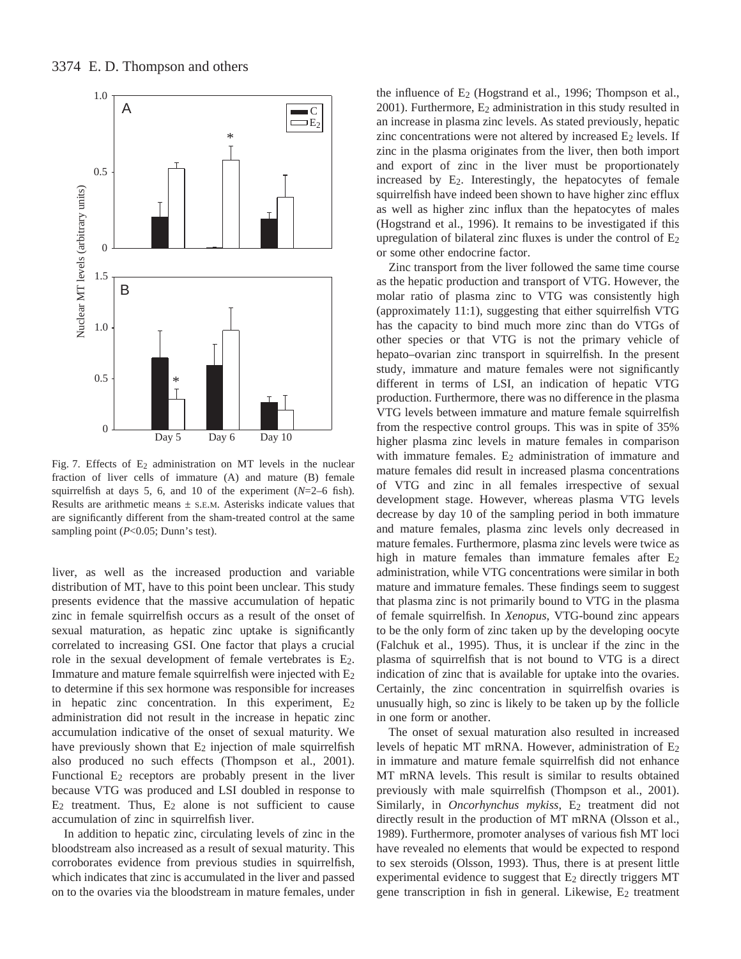

Fig. 7. Effects of E<sub>2</sub> administration on MT levels in the nuclear fraction of liver cells of immature (A) and mature (B) female squirrelfish at days 5, 6, and 10 of the experiment (*N*=2–6 fish). Results are arithmetic means  $\pm$  s.E.M. Asterisks indicate values that are significantly different from the sham-treated control at the same sampling point ( $P$ <0.05; Dunn's test).

liver, as well as the increased production and variable distribution of MT, have to this point been unclear. This study presents evidence that the massive accumulation of hepatic zinc in female squirrelfish occurs as a result of the onset of sexual maturation, as hepatic zinc uptake is significantly correlated to increasing GSI. One factor that plays a crucial role in the sexual development of female vertebrates is E2. Immature and mature female squirrelfish were injected with  $E_2$ to determine if this sex hormone was responsible for increases in hepatic zinc concentration. In this experiment,  $E_2$ administration did not result in the increase in hepatic zinc accumulation indicative of the onset of sexual maturity. We have previously shown that  $E_2$  injection of male squirrelfish also produced no such effects (Thompson et al., 2001). Functional  $E_2$  receptors are probably present in the liver because VTG was produced and LSI doubled in response to  $E_2$  treatment. Thus,  $E_2$  alone is not sufficient to cause accumulation of zinc in squirrelfish liver.

In addition to hepatic zinc, circulating levels of zinc in the bloodstream also increased as a result of sexual maturity. This corroborates evidence from previous studies in squirrelfish, which indicates that zinc is accumulated in the liver and passed on to the ovaries via the bloodstream in mature females, under

the influence of  $E_2$  (Hogstrand et al., 1996; Thompson et al.,  $2001$ ). Furthermore,  $E_2$  administration in this study resulted in an increase in plasma zinc levels. As stated previously, hepatic zinc concentrations were not altered by increased  $E_2$  levels. If zinc in the plasma originates from the liver, then both import and export of zinc in the liver must be proportionately increased by E2. Interestingly, the hepatocytes of female squirrelfish have indeed been shown to have higher zinc efflux as well as higher zinc influx than the hepatocytes of males (Hogstrand et al., 1996). It remains to be investigated if this upregulation of bilateral zinc fluxes is under the control of  $E_2$ or some other endocrine factor.

Zinc transport from the liver followed the same time course as the hepatic production and transport of VTG. However, the molar ratio of plasma zinc to VTG was consistently high (approximately 11:1), suggesting that either squirrelfish VTG has the capacity to bind much more zinc than do VTGs of other species or that VTG is not the primary vehicle of hepato–ovarian zinc transport in squirrelfish. In the present study, immature and mature females were not significantly different in terms of LSI, an indication of hepatic VTG production. Furthermore, there was no difference in the plasma VTG levels between immature and mature female squirrelfish from the respective control groups. This was in spite of 35% higher plasma zinc levels in mature females in comparison with immature females.  $E_2$  administration of immature and mature females did result in increased plasma concentrations of VTG and zinc in all females irrespective of sexual development stage. However, whereas plasma VTG levels decrease by day 10 of the sampling period in both immature and mature females, plasma zinc levels only decreased in mature females. Furthermore, plasma zinc levels were twice as high in mature females than immature females after E<sub>2</sub> administration, while VTG concentrations were similar in both mature and immature females. These findings seem to suggest that plasma zinc is not primarily bound to VTG in the plasma of female squirrelfish. In *Xenopus*, VTG-bound zinc appears to be the only form of zinc taken up by the developing oocyte (Falchuk et al., 1995). Thus, it is unclear if the zinc in the plasma of squirrelfish that is not bound to VTG is a direct indication of zinc that is available for uptake into the ovaries. Certainly, the zinc concentration in squirrelfish ovaries is unusually high, so zinc is likely to be taken up by the follicle in one form or another.

The onset of sexual maturation also resulted in increased levels of hepatic MT mRNA. However, administration of  $E_2$ in immature and mature female squirrelfish did not enhance MT mRNA levels. This result is similar to results obtained previously with male squirrelfish (Thompson et al., 2001). Similarly, in *Oncorhynchus mykiss*, E<sub>2</sub> treatment did not directly result in the production of MT mRNA (Olsson et al., 1989). Furthermore, promoter analyses of various fish MT loci have revealed no elements that would be expected to respond to sex steroids (Olsson, 1993). Thus, there is at present little experimental evidence to suggest that E<sub>2</sub> directly triggers MT gene transcription in fish in general. Likewise, E<sub>2</sub> treatment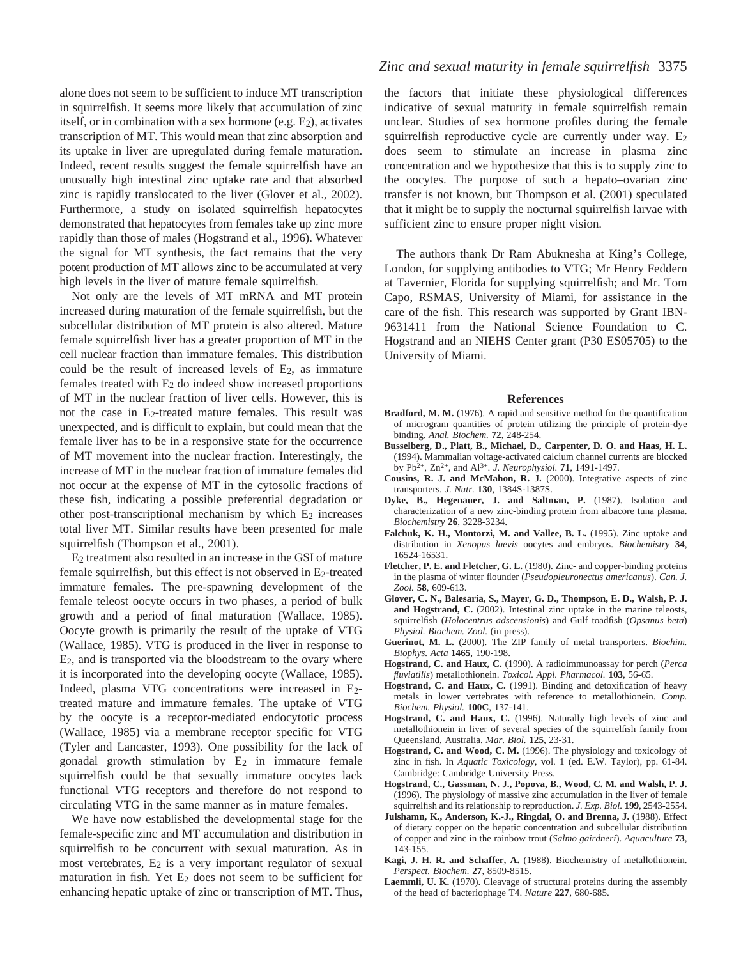alone does not seem to be sufficient to induce MT transcription in squirrelfish. It seems more likely that accumulation of zinc itself, or in combination with a sex hormone (e.g.  $E_2$ ), activates transcription of MT. This would mean that zinc absorption and its uptake in liver are upregulated during female maturation. Indeed, recent results suggest the female squirrelfish have an unusually high intestinal zinc uptake rate and that absorbed zinc is rapidly translocated to the liver (Glover et al., 2002). Furthermore, a study on isolated squirrelfish hepatocytes demonstrated that hepatocytes from females take up zinc more rapidly than those of males (Hogstrand et al., 1996). Whatever the signal for MT synthesis, the fact remains that the very potent production of MT allows zinc to be accumulated at very high levels in the liver of mature female squirrelfish.

Not only are the levels of MT mRNA and MT protein increased during maturation of the female squirrelfish, but the subcellular distribution of MT protein is also altered. Mature female squirrelfish liver has a greater proportion of MT in the cell nuclear fraction than immature females. This distribution could be the result of increased levels of  $E_2$ , as immature females treated with  $E_2$  do indeed show increased proportions of MT in the nuclear fraction of liver cells. However, this is not the case in  $E_2$ -treated mature females. This result was unexpected, and is difficult to explain, but could mean that the female liver has to be in a responsive state for the occurrence of MT movement into the nuclear fraction. Interestingly, the increase of MT in the nuclear fraction of immature females did not occur at the expense of MT in the cytosolic fractions of these fish, indicating a possible preferential degradation or other post-transcriptional mechanism by which  $E_2$  increases total liver MT. Similar results have been presented for male squirrelfish (Thompson et al., 2001).

E2 treatment also resulted in an increase in the GSI of mature female squirrelfish, but this effect is not observed in  $E_2$ -treated immature females. The pre-spawning development of the female teleost oocyte occurs in two phases, a period of bulk growth and a period of final maturation (Wallace, 1985). Oocyte growth is primarily the result of the uptake of VTG (Wallace, 1985). VTG is produced in the liver in response to E2, and is transported via the bloodstream to the ovary where it is incorporated into the developing oocyte (Wallace, 1985). Indeed, plasma VTG concentrations were increased in E<sub>2</sub>treated mature and immature females. The uptake of VTG by the oocyte is a receptor-mediated endocytotic process (Wallace, 1985) via a membrane receptor specific for VTG (Tyler and Lancaster, 1993). One possibility for the lack of gonadal growth stimulation by  $E_2$  in immature female squirrelfish could be that sexually immature oocytes lack functional VTG receptors and therefore do not respond to circulating VTG in the same manner as in mature females.

We have now established the developmental stage for the female-specific zinc and MT accumulation and distribution in squirrelfish to be concurrent with sexual maturation. As in most vertebrates,  $E_2$  is a very important regulator of sexual maturation in fish. Yet  $E_2$  does not seem to be sufficient for enhancing hepatic uptake of zinc or transcription of MT. Thus,

# *Zinc and sexual maturity in female squirrelfish* 3375

the factors that initiate these physiological differences indicative of sexual maturity in female squirrelfish remain unclear. Studies of sex hormone profiles during the female squirrelfish reproductive cycle are currently under way.  $E_2$ does seem to stimulate an increase in plasma zinc concentration and we hypothesize that this is to supply zinc to the oocytes. The purpose of such a hepato–ovarian zinc transfer is not known, but Thompson et al. (2001) speculated that it might be to supply the nocturnal squirrelfish larvae with sufficient zinc to ensure proper night vision.

The authors thank Dr Ram Abuknesha at King's College, London, for supplying antibodies to VTG; Mr Henry Feddern at Tavernier, Florida for supplying squirrelfish; and Mr. Tom Capo, RSMAS, University of Miami, for assistance in the care of the fish. This research was supported by Grant IBN-9631411 from the National Science Foundation to C. Hogstrand and an NIEHS Center grant (P30 ES05705) to the University of Miami.

#### **References**

- **Bradford, M. M.** (1976). A rapid and sensitive method for the quantification of microgram quantities of protein utilizing the principle of protein-dye binding. *Anal. Biochem.* **72**, 248-254.
- **Busselberg, D., Platt, B., Michael, D., Carpenter, D. O. and Haas, H. L.** (1994). Mammalian voltage-activated calcium channel currents are blocked by Pb2+, Zn2+, and Al3+. *J. Neurophysiol.* **71**, 1491-1497.
- **Cousins, R. J. and McMahon, R. J.** (2000). Integrative aspects of zinc transporters. *J. Nutr.* **130**, 1384S-1387S.
- **Dyke, B., Hegenauer, J. and Saltman, P.** (1987). Isolation and characterization of a new zinc-binding protein from albacore tuna plasma. *Biochemistry* **26**, 3228-3234.
- Falchuk, K. H., Montorzi, M. and Vallee, B. L. (1995). Zinc uptake and distribution in *Xenopus laevis* oocytes and embryos. *Biochemistry* **34**, 16524-16531.
- Fletcher, P. E. and Fletcher, G. L. (1980). Zinc- and copper-binding proteins in the plasma of winter flounder (*Pseudopleuronectus americanus*). *Can. J. Zool.* **58**, 609-613.
- **Glover, C. N., Balesaria, S., Mayer, G. D., Thompson, E. D., Walsh, P. J. and Hogstrand, C.** (2002). Intestinal zinc uptake in the marine teleosts, squirrelfish (*Holocentrus adscensionis*) and Gulf toadfish (*Opsanus beta*) *Physiol. Biochem. Zool.* (in press).
- **Guerinot, M. L.** (2000). The ZIP family of metal transporters. *Biochim. Biophys. Acta* **1465**, 190-198.
- **Hogstrand, C. and Haux, C.** (1990). A radioimmunoassay for perch (*Perca fluviatilis*) metallothionein. *Toxicol. Appl. Pharmacol.* **103**, 56-65.
- **Hogstrand, C. and Haux, C.** (1991). Binding and detoxification of heavy metals in lower vertebrates with reference to metallothionein. *Comp. Biochem. Physiol.* **100C**, 137-141.
- **Hogstrand, C. and Haux, C.** (1996). Naturally high levels of zinc and metallothionein in liver of several species of the squirrelfish family from Queensland, Australia. *Mar. Biol.* **125**, 23-31.
- **Hogstrand, C. and Wood, C. M.** (1996). The physiology and toxicology of zinc in fish. In *Aquatic Toxicology*, vol. 1 (ed. E.W. Taylor), pp. 61-84. Cambridge: Cambridge University Press.
- **Hogstrand, C., Gassman, N. J., Popova, B., Wood, C. M. and Walsh, P. J.** (1996). The physiology of massive zinc accumulation in the liver of female squirrelfish and its relationship to reproduction. *J. Exp. Biol.* **199**, 2543-2554.
- **Julshamn, K., Anderson, K.-J., Ringdal, O. and Brenna, J.** (1988). Effect of dietary copper on the hepatic concentration and subcellular distribution of copper and zinc in the rainbow trout (*Salmo gairdneri*). *Aquaculture* **73**, 143-155.
- **Kagi, J. H. R. and Schaffer, A.** (1988). Biochemistry of metallothionein. *Perspect. Biochem.* **27**, 8509-8515.
- **Laemmli, U. K.** (1970). Cleavage of structural proteins during the assembly of the head of bacteriophage T4. *Nature* **227**, 680-685.